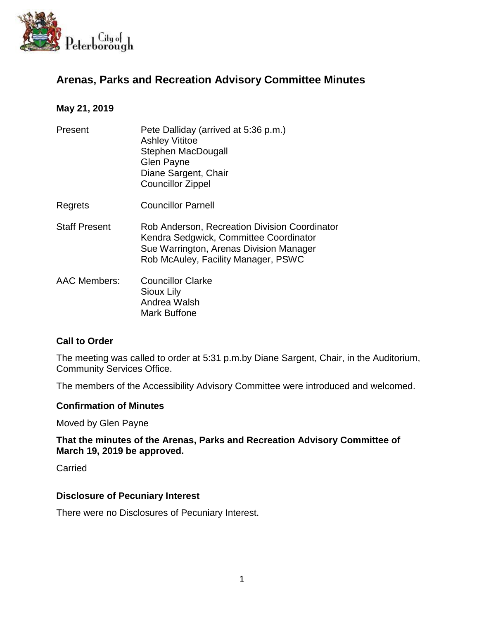

# **Arenas, Parks and Recreation Advisory Committee Minutes**

### **May 21, 2019**

| Present              | Pete Dalliday (arrived at 5:36 p.m.)<br><b>Ashley Vititoe</b><br>Stephen MacDougall<br><b>Glen Payne</b><br>Diane Sargent, Chair<br><b>Councillor Zippel</b>              |
|----------------------|---------------------------------------------------------------------------------------------------------------------------------------------------------------------------|
| Regrets              | <b>Councillor Parnell</b>                                                                                                                                                 |
| <b>Staff Present</b> | Rob Anderson, Recreation Division Coordinator<br>Kendra Sedgwick, Committee Coordinator<br>Sue Warrington, Arenas Division Manager<br>Rob McAuley, Facility Manager, PSWC |
| <b>AAC Members:</b>  | <b>Councillor Clarke</b><br>Sioux Lily<br>Andrea Walsh<br>Mark Buffone                                                                                                    |

### **Call to Order**

The meeting was called to order at 5:31 p.m.by Diane Sargent, Chair, in the Auditorium, Community Services Office.

The members of the Accessibility Advisory Committee were introduced and welcomed.

### **Confirmation of Minutes**

Moved by Glen Payne

### **That the minutes of the Arenas, Parks and Recreation Advisory Committee of March 19, 2019 be approved.**

Carried

### **Disclosure of Pecuniary Interest**

There were no Disclosures of Pecuniary Interest.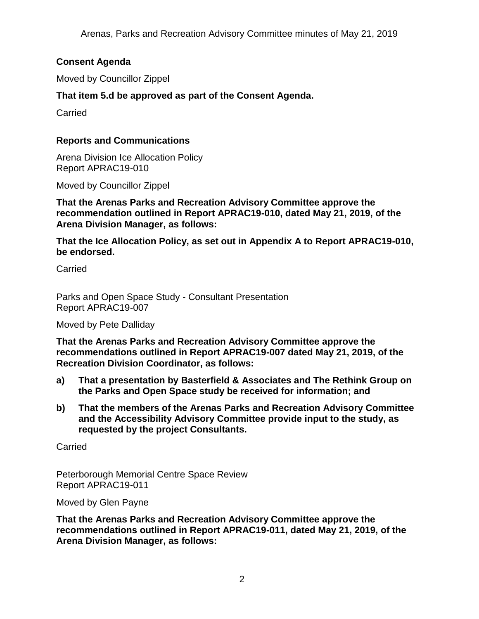## **Consent Agenda**

Moved by Councillor Zippel

## **That item 5.d be approved as part of the Consent Agenda.**

Carried

### **Reports and Communications**

Arena Division Ice Allocation Policy Report APRAC19-010

Moved by Councillor Zippel

**That the Arenas Parks and Recreation Advisory Committee approve the recommendation outlined in Report APRAC19-010, dated May 21, 2019, of the Arena Division Manager, as follows:**

**That the Ice Allocation Policy, as set out in Appendix A to Report APRAC19-010, be endorsed.**

Carried

Parks and Open Space Study - Consultant Presentation Report APRAC19-007

Moved by Pete Dalliday

**That the Arenas Parks and Recreation Advisory Committee approve the recommendations outlined in Report APRAC19-007 dated May 21, 2019, of the Recreation Division Coordinator, as follows:**

- **a) That a presentation by Basterfield & Associates and The Rethink Group on the Parks and Open Space study be received for information; and**
- **b) That the members of the Arenas Parks and Recreation Advisory Committee and the Accessibility Advisory Committee provide input to the study, as requested by the project Consultants.**

Carried

Peterborough Memorial Centre Space Review Report APRAC19-011

Moved by Glen Payne

**That the Arenas Parks and Recreation Advisory Committee approve the recommendations outlined in Report APRAC19-011, dated May 21, 2019, of the Arena Division Manager, as follows:**